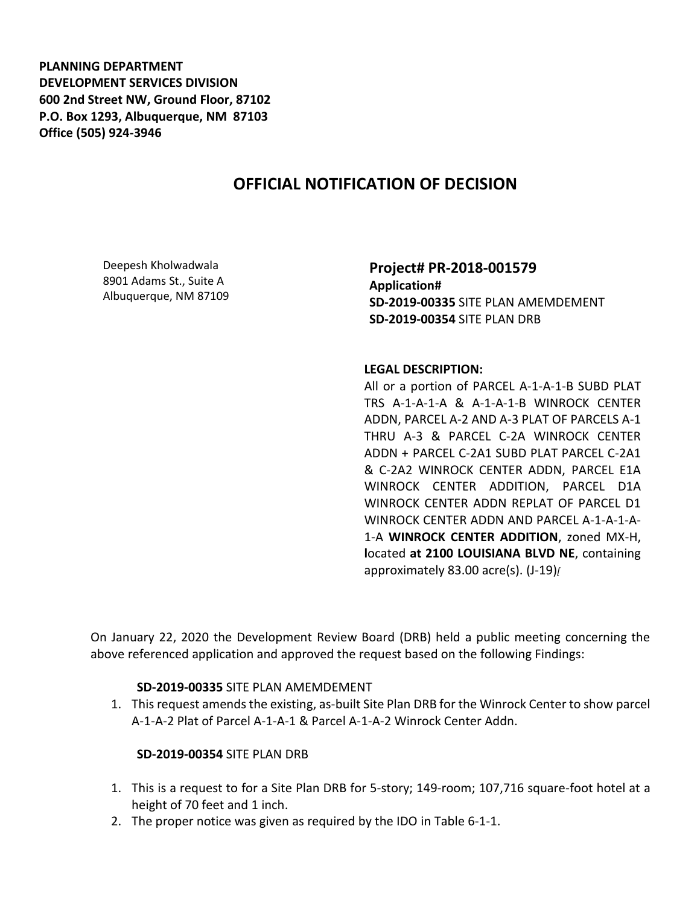**PLANNING DEPARTMENT DEVELOPMENT SERVICES DIVISION 600 2nd Street NW, Ground Floor, 87102 P.O. Box 1293, Albuquerque, NM 87103 Office (505) 924-3946** 

# **OFFICIAL NOTIFICATION OF DECISION**

Deepesh Kholwadwala 8901 Adams St., Suite A Albuquerque, NM 87109 **Project# PR-2018-001579 Application# SD-2019-00335** SITE PLAN AMEMDEMENT **SD-2019-00354** SITE PLAN DRB

#### **LEGAL DESCRIPTION:**

All or a portion of PARCEL A-1-A-1-B SUBD PLAT TRS A-1-A-1-A & A-1-A-1-B WINROCK CENTER ADDN, PARCEL A-2 AND A-3 PLAT OF PARCELS A-1 THRU A-3 & PARCEL C-2A WINROCK CENTER ADDN + PARCEL C-2A1 SUBD PLAT PARCEL C-2A1 & C-2A2 WINROCK CENTER ADDN, PARCEL E1A WINROCK CENTER ADDITION, PARCEL D1A WINROCK CENTER ADDN REPLAT OF PARCEL D1 WINROCK CENTER ADDN AND PARCEL A-1-A-1-A-1-A **WINROCK CENTER ADDITION**, zoned MX-H, **l**ocated **at 2100 LOUISIANA BLVD NE**, containing approximately 83.00 acre(s). (J-19)*[*

On January 22, 2020 the Development Review Board (DRB) held a public meeting concerning the above referenced application and approved the request based on the following Findings:

### **SD-2019-00335** SITE PLAN AMEMDEMENT

1. This request amends the existing, as-built Site Plan DRB for the Winrock Center to show parcel A-1-A-2 Plat of Parcel A-1-A-1 & Parcel A-1-A-2 Winrock Center Addn.

### **SD-2019-00354** SITE PLAN DRB

- 1. This is a request to for a Site Plan DRB for 5-story; 149-room; 107,716 square-foot hotel at a height of 70 feet and 1 inch.
- 2. The proper notice was given as required by the IDO in Table 6-1-1.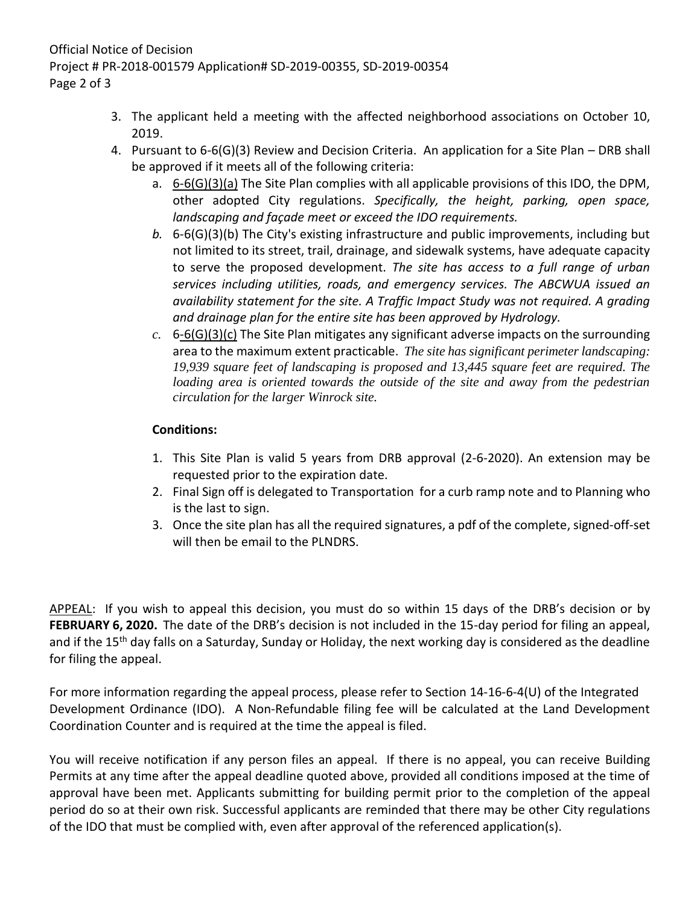- 3. The applicant held a meeting with the affected neighborhood associations on October 10, 2019.
- 4. Pursuant to 6-6(G)(3) Review and Decision Criteria. An application for a Site Plan DRB shall be approved if it meets all of the following criteria:
	- a. 6-6(G)(3)(a) The Site Plan complies with all applicable provisions of this IDO, the DPM, other adopted City regulations. *Specifically, the height, parking, open space, landscaping and façade meet or exceed the IDO requirements.*
	- *b.* 6-6(G)(3)(b) The City's existing infrastructure and public improvements, including but not limited to its street, trail, drainage, and sidewalk systems, have adequate capacity to serve the proposed development. *The site has access to a full range of urban services including utilities, roads, and emergency services. The ABCWUA issued an availability statement for the site. A Traffic Impact Study was not required. A grading and drainage plan for the entire site has been approved by Hydrology.*
	- *c.* 6-6(G)(3)(c) The Site Plan mitigates any significant adverse impacts on the surrounding area to the maximum extent practicable. *The site has significant perimeter landscaping: 19,939 square feet of landscaping is proposed and 13,445 square feet are required. The*  loading area is oriented towards the outside of the site and away from the pedestrian *circulation for the larger Winrock site.*

## **Conditions:**

- 1. This Site Plan is valid 5 years from DRB approval (2-6-2020). An extension may be requested prior to the expiration date.
- 2. Final Sign off is delegated to Transportation for a curb ramp note and to Planning who is the last to sign.
- 3. Once the site plan has all the required signatures, a pdf of the complete, signed-off-set will then be email to the PLNDRS.

APPEAL: If you wish to appeal this decision, you must do so within 15 days of the DRB's decision or by **FEBRUARY 6, 2020.** The date of the DRB's decision is not included in the 15-day period for filing an appeal, and if the 15<sup>th</sup> day falls on a Saturday, Sunday or Holiday, the next working day is considered as the deadline for filing the appeal.

For more information regarding the appeal process, please refer to Section 14-16-6-4(U) of the Integrated Development Ordinance (IDO). A Non-Refundable filing fee will be calculated at the Land Development Coordination Counter and is required at the time the appeal is filed.

You will receive notification if any person files an appeal. If there is no appeal, you can receive Building Permits at any time after the appeal deadline quoted above, provided all conditions imposed at the time of approval have been met. Applicants submitting for building permit prior to the completion of the appeal period do so at their own risk. Successful applicants are reminded that there may be other City regulations of the IDO that must be complied with, even after approval of the referenced application(s).